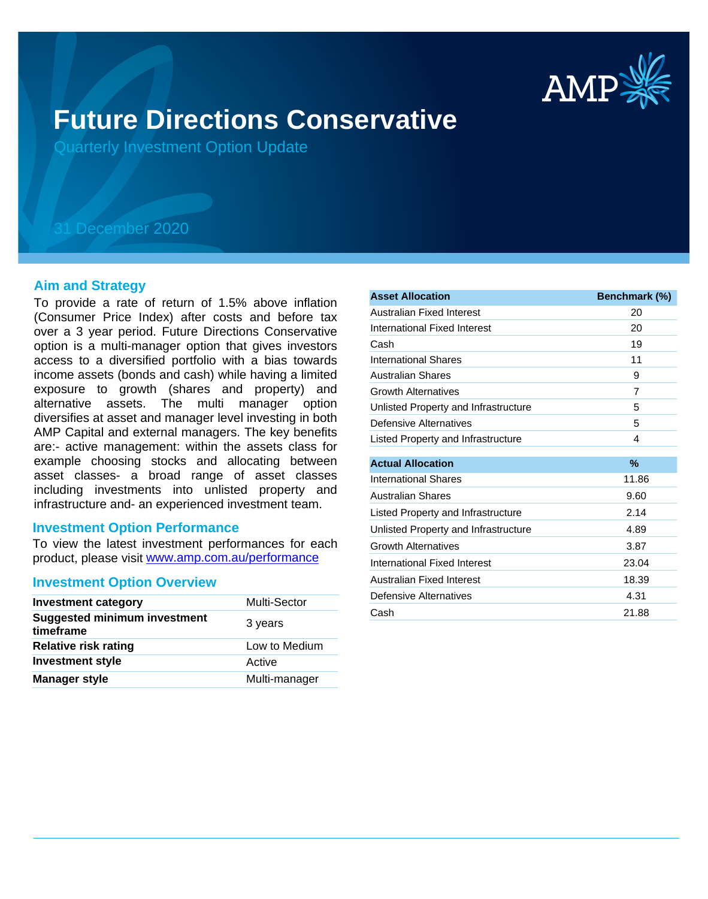

# **Future Directions Conservative**

Quarterly Investment Option Update

# 31 December 2020

### **Aim and Strategy**

To provide a rate of return of 1.5% above inflation (Consumer Price Index) after costs and before tax over a 3 year period. Future Directions Conservative option is a multi-manager option that gives investors access to a diversified portfolio with a bias towards income assets (bonds and cash) while having a limited exposure to growth (shares and property) and alternative assets. The multi manager option diversifies at asset and manager level investing in both AMP Capital and external managers. The key benefits are:- active management: within the assets class for example choosing stocks and allocating between asset classes- a broad range of asset classes including investments into unlisted property and infrastructure and- an experienced investment team.

#### **Investment Option Performance**

product, please visit www.amp.com.au/performance To view the latest investment performances for each

### **Investment Option Overview**

| <b>Investment category</b>                       | <b>Multi-Sector</b> |
|--------------------------------------------------|---------------------|
| <b>Suggested minimum investment</b><br>timeframe | 3 years             |
| <b>Relative risk rating</b>                      | Low to Medium       |
| <b>Investment style</b>                          | Active              |
| <b>Manager style</b>                             | Multi-manager       |

| <b>Asset Allocation</b>              | Benchmark (%) |
|--------------------------------------|---------------|
| <b>Australian Fixed Interest</b>     | 20            |
| <b>International Fixed Interest</b>  | 20            |
| Cash                                 | 19            |
| International Shares                 | 11            |
| <b>Australian Shares</b>             | 9             |
| <b>Growth Alternatives</b>           | 7             |
| Unlisted Property and Infrastructure | 5             |
| Defensive Alternatives               | 5             |
| Listed Property and Infrastructure   | 4             |
| <b>Actual Allocation</b>             | %             |
| International Shares                 | 11.86         |
| <b>Australian Shares</b>             | 9.60          |
| Listed Property and Infrastructure   | 2.14          |
| Unlisted Property and Infrastructure | 4.89          |
| <b>Growth Alternatives</b>           | 3.87          |
| International Fixed Interest         | 23.04         |
| Australian Fixed Interest            | 18.39         |
| Defensive Alternatives               | 4.31          |
| Cash                                 | 21.88         |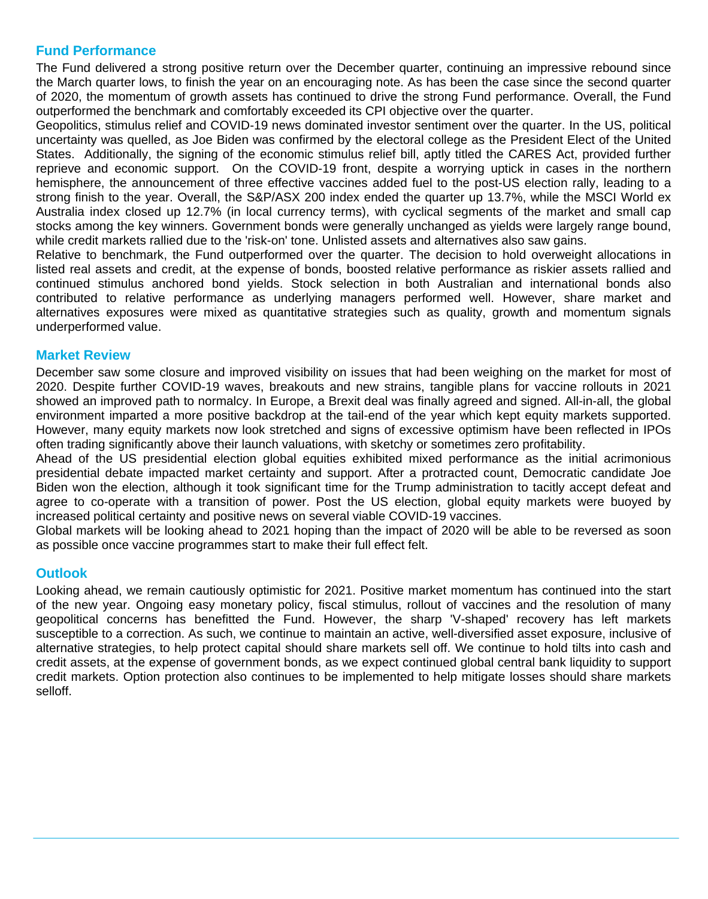# **Fund Performance**

The Fund delivered a strong positive return over the December quarter, continuing an impressive rebound since the March quarter lows, to finish the year on an encouraging note. As has been the case since the second quarter of 2020, the momentum of growth assets has continued to drive the strong Fund performance. Overall, the Fund outperformed the benchmark and comfortably exceeded its CPI objective over the quarter.

Geopolitics, stimulus relief and COVID-19 news dominated investor sentiment over the quarter. In the US, political uncertainty was quelled, as Joe Biden was confirmed by the electoral college as the President Elect of the United States. Additionally, the signing of the economic stimulus relief bill, aptly titled the CARES Act, provided further reprieve and economic support. On the COVID-19 front, despite a worrying uptick in cases in the northern hemisphere, the announcement of three effective vaccines added fuel to the post-US election rally, leading to a strong finish to the year. Overall, the S&P/ASX 200 index ended the quarter up 13.7%, while the MSCI World ex Australia index closed up 12.7% (in local currency terms), with cyclical segments of the market and small cap stocks among the key winners. Government bonds were generally unchanged as yields were largely range bound, while credit markets rallied due to the 'risk-on' tone. Unlisted assets and alternatives also saw gains.

Relative to benchmark, the Fund outperformed over the quarter. The decision to hold overweight allocations in listed real assets and credit, at the expense of bonds, boosted relative performance as riskier assets rallied and continued stimulus anchored bond yields. Stock selection in both Australian and international bonds also contributed to relative performance as underlying managers performed well. However, share market and alternatives exposures were mixed as quantitative strategies such as quality, growth and momentum signals underperformed value.

# **Market Review**

December saw some closure and improved visibility on issues that had been weighing on the market for most of 2020. Despite further COVID-19 waves, breakouts and new strains, tangible plans for vaccine rollouts in 2021 showed an improved path to normalcy. In Europe, a Brexit deal was finally agreed and signed. All-in-all, the global environment imparted a more positive backdrop at the tail-end of the year which kept equity markets supported. However, many equity markets now look stretched and signs of excessive optimism have been reflected in IPOs often trading significantly above their launch valuations, with sketchy or sometimes zero profitability.

Ahead of the US presidential election global equities exhibited mixed performance as the initial acrimonious presidential debate impacted market certainty and support. After a protracted count, Democratic candidate Joe Biden won the election, although it took significant time for the Trump administration to tacitly accept defeat and agree to co-operate with a transition of power. Post the US election, global equity markets were buoyed by increased political certainty and positive news on several viable COVID-19 vaccines.

Global markets will be looking ahead to 2021 hoping than the impact of 2020 will be able to be reversed as soon as possible once vaccine programmes start to make their full effect felt.

# **Outlook**

Looking ahead, we remain cautiously optimistic for 2021. Positive market momentum has continued into the start of the new year. Ongoing easy monetary policy, fiscal stimulus, rollout of vaccines and the resolution of many geopolitical concerns has benefitted the Fund. However, the sharp 'V-shaped' recovery has left markets susceptible to a correction. As such, we continue to maintain an active, well-diversified asset exposure, inclusive of alternative strategies, to help protect capital should share markets sell off. We continue to hold tilts into cash and credit assets, at the expense of government bonds, as we expect continued global central bank liquidity to support credit markets. Option protection also continues to be implemented to help mitigate losses should share markets selloff.